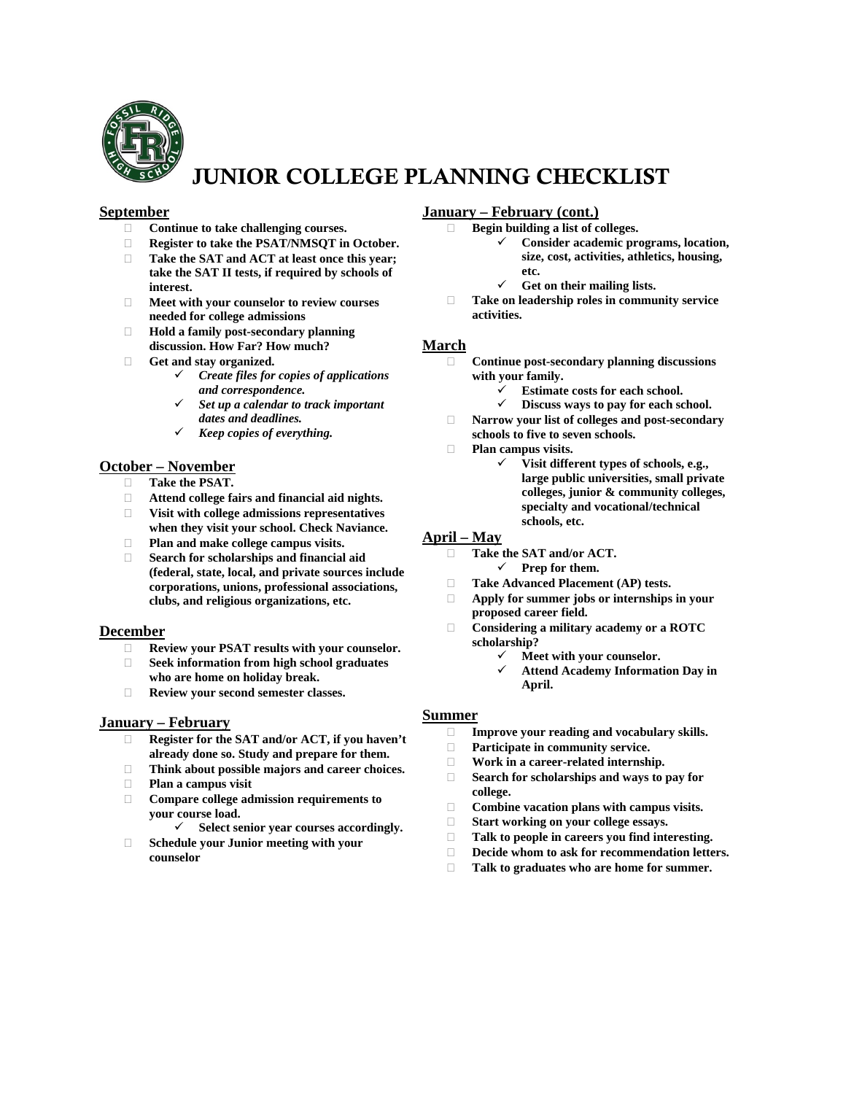

# JUNIOR COLLEGE PLANNING CHECKLIST

### **September**

- **Continue to take challenging courses.**
- **Register to take the PSAT/NMSQT in October.**
- **Take the SAT and ACT at least once this year; take the SAT II tests, if required by schools of interest.**
- **Meet with your counselor to review courses needed for college admissions**
- **Hold a family post-secondary planning discussion. How Far? How much?**
- **Get and stay organized.**
	- *Create files for copies of applications and correspondence.*
	- *Set up a calendar to track important dates and deadlines.*
	- *Keep copies of everything.*

### **October – November**

- **Take the PSAT.**
- **Attend college fairs and financial aid nights.**
- **Visit with college admissions representatives when they visit your school. Check Naviance.**
- **Plan and make college campus visits.**
- **Search for scholarships and financial aid (federal, state, local, and private sources include corporations, unions, professional associations, clubs, and religious organizations, etc.**

### **December**

- **Review your PSAT results with your counselor.**
- **Seek information from high school graduates who are home on holiday break.**
- **Review your second semester classes.**

### **January – February**

- **Register for the SAT and/or ACT, if you haven't already done so. Study and prepare for them.**
- **Think about possible majors and career choices.**
- **Plan a campus visit**
- **Compare college admission requirements to your course load.**
	- **Select senior year courses accordingly.**
- **Schedule your Junior meeting with your counselor**

### **January – February (cont.)**

- **Begin building a list of colleges.**
	- **Consider academic programs, location, size, cost, activities, athletics, housing, etc.**
	- $\checkmark$  Get on their mailing lists.
- **Take on leadership roles in community service activities.**

#### **March**

- **Continue post-secondary planning discussions with your family.**
	- **Estimate costs for each school.**
	- **Discuss ways to pay for each school.**
- **Narrow your list of colleges and post-secondary schools to five to seven schools.**
- **Plan campus visits.**
	- **Visit different types of schools, e.g., large public universities, small private colleges, junior & community colleges, specialty and vocational/technical schools, etc.**

### **April – May**

- **Take the SAT and/or ACT. Prep for them.**
- **Take Advanced Placement (AP) tests.**
- **Apply for summer jobs or internships in your proposed career field.**
- **Considering a military academy or a ROTC scholarship?**
	- **Meet with your counselor.**
		- **Attend Academy Information Day in April.**

### **Summer**

- **Improve your reading and vocabulary skills.**
- **Participate in community service.**
- **Work in a career-related internship.**
- **Search for scholarships and ways to pay for college.**
- **Combine vacation plans with campus visits.**
- □ Start working on your college essays.<br>□ Talk to people in careers you find inte
- **Talk to people in careers you find interesting.**
- **Decide whom to ask for recommendation letters.**
- **Talk to graduates who are home for summer.**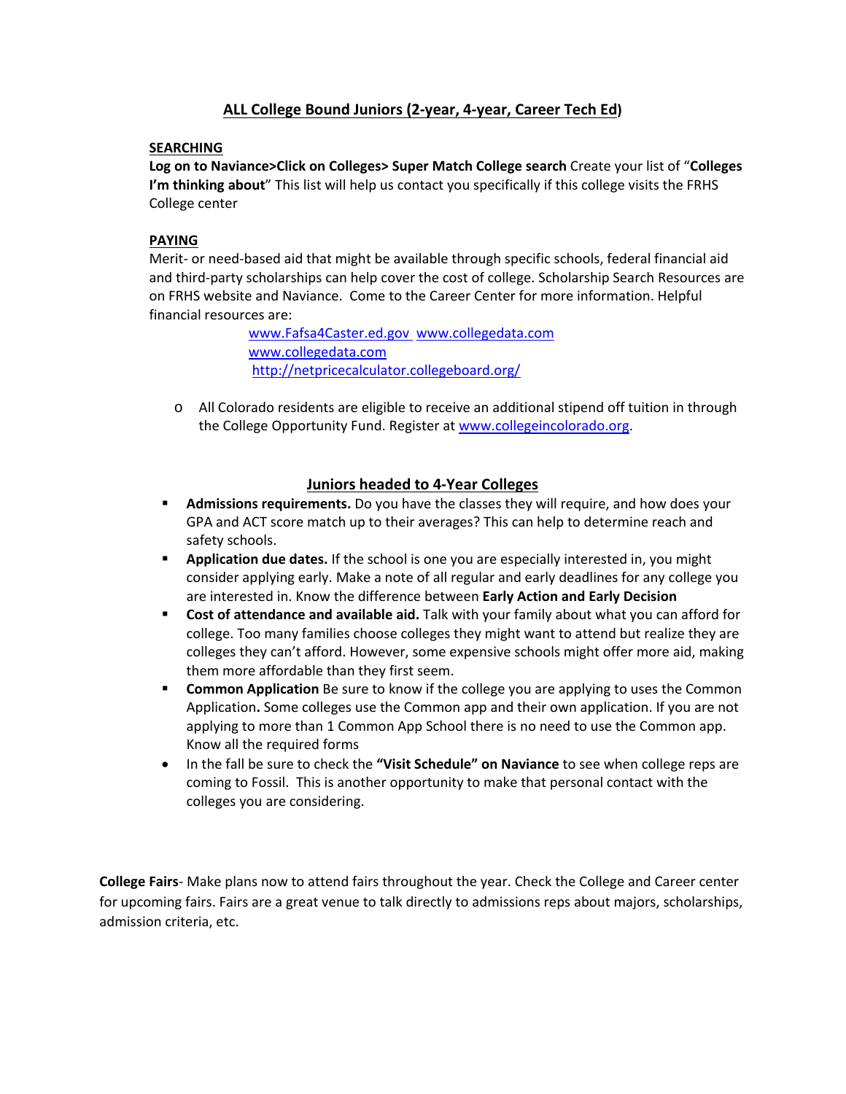### **ALL College Bound Juniors (2-year, 4-year, Career Tech Ed)**

### **SEARCHING**

**Log on to Naviance>Click on Colleges> Super Match College search** Create your list of "**Colleges I'm thinking about**" This list will help us contact you specifically if this college visits the FRHS College center

### **PAYING**

Merit- or need-based aid that might be available through specific schools, federal financial aid and third-party scholarships can help cover the cost of college. Scholarship Search Resources are on FRHS website and Naviance. Come to the Career Center for more information. Helpful financial resources are:

> [www.Fafsa4Caster.ed.gov](http://www.fafsa4caster.ed.gov/) [www.collegedata.com](http://www.collegedata.com/)  [www.collegedata.com](http://www.collegedata.com/) <http://netpricecalculator.collegeboard.org/>

 $\circ$  All Colorado residents are eligible to receive an additional stipend off tuition in through the College Opportunity Fund. Register at [www.collegeincolorado.org.](http://www.collegeincolorado.org/)

### **Juniors headed to 4-Year Colleges**

- **Admissions requirements.** Do you have the classes they will require, and how does your GPA and ACT score match up to their averages? This can help to determine reach and safety schools.
- **Application due dates.** If the school is one you are especially interested in, you might consider applying early. Make a note of all regular and early deadlines for any college you are interested in. Know the difference between **Early Action and Early Decision**
- **Cost of attendance and available aid.** Talk with your family about what you can afford for college. Too many families choose colleges they might want to attend but realize they are colleges they can't afford. However, some expensive schools might offer more aid, making them more affordable than they first seem.
- **Common Application** Be sure to know if the college you are applying to uses the Common Application**.** Some colleges use the Common app and their own application. If you are not applying to more than 1 Common App School there is no need to use the Common app. Know all the required forms
- In the fall be sure to check the **"Visit Schedule" on Naviance** to see when college reps are coming to Fossil. This is another opportunity to make that personal contact with the colleges you are considering.

**College Fairs**- Make plans now to attend fairs throughout the year. Check the College and Career center for upcoming fairs. Fairs are a great venue to talk directly to admissions reps about majors, scholarships, admission criteria, etc.